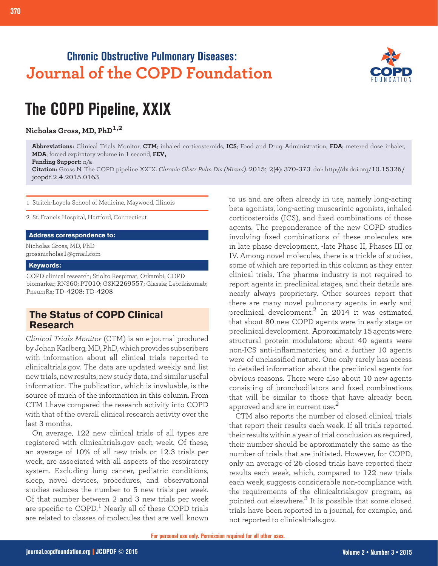# **Chronic Obstructive Pulmonary Diseases: Journal of the COPD Foundation**



# **The COPD Pipeline, XXIX**

**Nicholas Gross, MD, PhD1,2**

**Abbreviations:** Clinical Trials Monitor, **CTM**; inhaled corticosteroids, **ICS**; Food and Drug Administration, **FDA**; metered dose inhaler, **MDA**; forced expiratory volume in 1 second, **FEV1**

#### **Funding Support:** n/a

**Citation:** Gross N. The COPD pipeline XXIX. *Chronic Obstr Pulm Dis (Miami)*. 2015; 2(4): 370-373. doi: http://dx.doi.org/10.15326/ jcopdf.2.4.2015.0163

1 Stritch-Loyola School of Medicine, Maywood, Illinois

2 St. Francis Hospital, Hartford, Connecticut

#### **Address correspondence to:**

Nicholas Gross, MD, PhD grossnicholas1@gmail.com

#### **Keywords:**

COPD clinical research; Stiolto Respimat; Orkambi; COPD biomarker; RNS60; PT010; GSK2269557; Glassia; Lebrikizumab; PneumRx; TD-4208; TD-4208

## **The Status of COPD Clinical Research**

*Clinical Trials Monitor* (CTM) is an e-journal produced by Johan Karlberg, MD, PhD, which provides subscribers with information about all clinical trials reported to clinicaltrials.gov. The data are updated weekly and list new trials, new results, new study data, and similar useful information. The publication, which is invaluable, is the source of much of the information in this column. From CTM I have compared the research activity into COPD with that of the overall clinical research activity over the last 3 months.

On average, 122 new clinical trials of all types are registered with clinicaltrials.gov each week. Of these, an average of 10% of all new trials or 12.3 trials per week, are associated with all aspects of the respiratory system. Excluding lung cancer, pediatric conditions, sleep, novel devices, procedures, and observational studies reduces the number to 5 new trials per week. Of that number between 2 and 3 new trials per week are specific to  $\text{COPD}$ <sup>1</sup> Nearly all of these  $\text{COPD}$  trials are related to classes of molecules that are well known to us and are often already in use, namely long-acting beta agonists, long-acting muscarinic agonists, inhaled corticosteroids (ICS), and fixed combinations of those agents. The preponderance of the new COPD studies involving fixed combinations of these molecules are in late phase development, -late Phase II, Phases III or IV. Among novel molecules, there is a trickle of studies, some of which are reported in this column as they enter clinical trials. The pharma industry is not required to report agents in preclinical stages, and their details are nearly always proprietary. Other sources report that there are many novel pulmonary agents in early and preclinical development.<sup>2</sup> In 2014 it was estimated that about 80 new COPD agents were in early stage or preclinical development. Approximately 15 agents were structural protein modulators; about 40 agents were non-ICS anti-inflammatories; and a further 10 agents were of unclassified nature. One only rarely has access to detailed information about the preclinical agents for obvious reasons. There were also about 10 new agents consisting of bronchodilators and fixed combinations that will be similar to those that have already been approved and are in current use. $^2$ 

CTM also reports the number of closed clinical trials that report their results each week. If all trials reported their results within a year of trial conclusion as required, their number should be approximately the same as the number of trials that are initiated. However, for COPD, only an average of 26 closed trials have reported their results each week, which, compared to 122 new trials each week, suggests considerable non-compliance with the requirements of the clinicaltrials.gov program, as pointed out elsewhere. $3$  It is possible that some closed trials have been reported in a journal, for example, and not reported to clinicaltrials.gov.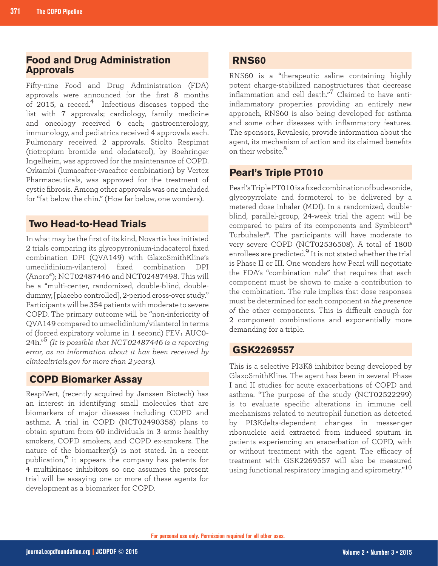## **Food and Drug Administration Approvals**

Fifty-nine Food and Drug Administration (FDA) approvals were announced for the first 8 months of 2015, a record.<sup>4</sup> Infectious diseases topped the list with 7 approvals; cardiology, family medicine and oncology received 6 each; gastroenterology, immunology, and pediatrics received 4 approvals each. Pulmonary received 2 approvals. Stiolto Respimat (tiotropium bromide and olodaterol), by Boehringer Ingelheim, was approved for the maintenance of COPD. Orkambi (lumacaftor-ivacaftor combination) by Vertex Pharmaceuticals, was approved for the treatment of cystic fibrosis. Among other approvals was one included for "fat below the chin." (How far below, one wonders).

## **Two Head-to-Head Trials**

In what may be the first of its kind, Novartis has initiated 2 trials comparing its glycopyrronium-indacaterol fixed combination DPI (QVA149) with GlaxoSmithKline's umeclidinium-vilanterol fixed combination DPI (Anoro®); NCT02487446 and NCT02487498. This will be a "multi-center, randomized, double-blind, doubledummy, [placebo controlled], 2-period cross-over study." Participants will be 354 patients with moderate to severe COPD. The primary outcome will be "non-inferiority of QVA149 compared to umeclidinium/vilanterol in terms of (forced expiratory volume in 1 second)  $FEV<sub>1</sub> AUC0-$ 24h."<sup>5</sup> *(It is possible that NCT02487446 is a reporting error, as no information about it has been received by clinicaltrials.gov for more than 2 years).*

## **COPD Biomarker Assay**

RespiVert, (recently acquired by Janssen Biotech) has an interest in identifying small molecules that are biomarkers of major diseases including COPD and asthma. A trial in COPD (NCT02490358) plans to obtain sputum from 60 individuals in 3 arms: healthy smokers, COPD smokers, and COPD ex-smokers. The nature of the biomarker(s) is not stated. In a recent publication,<sup>6</sup> it appears the company has patents for 4 multikinase inhibitors so one assumes the present trial will be assaying one or more of these agents for development as a biomarker for COPD.

## **RNS60**

RNS60 is a "therapeutic saline containing highly potent charge-stabilized nanostructures that decrease inflammation and cell death."7 Claimed to have antiinflammatory properties providing an entirely new approach, RNS60 is also being developed for asthma and some other diseases with inflammatory features. The sponsors, Revalesio, provide information about the agent, its mechanism of action and its claimed benefits on their website.<sup>8</sup>

# **Pearl's Triple PT010**

Pearl's Triple PT010 is a fixed combination of budesonide, glycopyrrolate and formoterol to be delivered by a metered dose inhaler (MDI). In a randomized, doubleblind, parallel-group, 24-week trial the agent will be compared to pairs of its components and Symbicort® Turbuhaler®. The participants will have moderate to very severe COPD (NCT02536508). A total of 1800 enrollees are predicted.<sup>9</sup> It is not stated whether the trial is Phase II or III. One wonders how Pearl will negotiate the FDA's "combination rule" that requires that each component must be shown to make a contribution to the combination. The rule implies that dose responses must be determined for each component *in the presence of* the other components. This is difficult enough for 2 component combinations and exponentially more demanding for a triple.

## **GSK2269557**

This is a selective PI3K<sub>8</sub> inhibitor being developed by GlaxoSmithKline. The agent has been in several Phase I and II studies for acute exacerbations of COPD and asthma. "The purpose of the study (NCT02522299) is to evaluate specific alterations in immune cell mechanisms related to neutrophil function as detected by PI3Kdelta-dependent changes in messenger ribonucleic acid extracted from induced sputum in patients experiencing an exacerbation of COPD, with or without treatment with the agent. The efficacy of treatment with GSK2269557 will also be measured using functional respiratory imaging and spirometry."<sup>10</sup>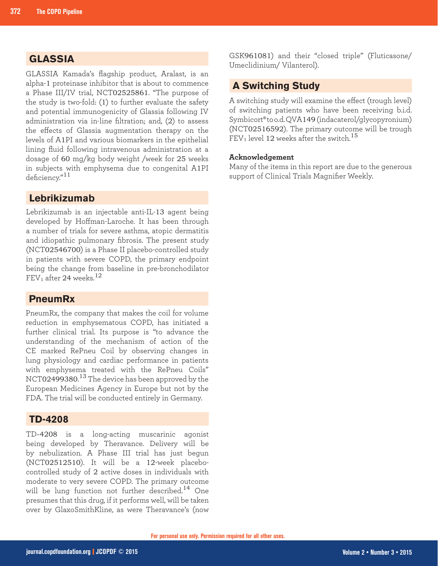# **GLASSIA**

GLASSIA Kamada's flagship product, Aralast, is an alpha-1 proteinase inhibitor that is about to commence a Phase III/IV trial, NCT02525861. "The purpose of the study is two-fold: (1) to further evaluate the safety and potential immunogenicity of Glassia following IV administration via in-line filtration; and, (2) to assess the effects of Glassia augmentation therapy on the levels of A1PI and various biomarkers in the epithelial lining fluid following intravenous administration at a dosage of 60 mg/kg body weight /week for 25 weeks in subjects with emphysema due to congenital A1PI deficiency."<sup>11</sup>

## **Lebrikizumab**

Lebrikizumab is an injectable anti-IL-13 agent being developed by Hoffman-Laroche. It has been through a number of trials for severe asthma, atopic dermatitis and idiopathic pulmonary fibrosis. The present study (NCT02546700) is a Phase II placebo-controlled study in patients with severe COPD, the primary endpoint being the change from baseline in pre-bronchodilator FEV<sub>1</sub> after 24 weeks.<sup>12</sup>

## **PneumRx**

PneumRx, the company that makes the coil for volume reduction in emphysematous COPD, has initiated a further clinical trial. Its purpose is "to advance the understanding of the mechanism of action of the CE marked RePneu Coil by observing changes in lung physiology and cardiac performance in patients with emphysema treated with the RePneu Coils" NCT02499380. <sup>13</sup> The device has been approved by the European Medicines Agency in Europe but not by the FDA. The trial will be conducted entirely in Germany.

#### **TD-4208**

TD-4208 is a long-acting muscarinic agonist being developed by Theravance. Delivery will be by nebulization. A Phase III trial has just begun (NCT02512510). It will be a 12-week placebocontrolled study of 2 active doses in individuals with moderate to very severe COPD. The primary outcome will be lung function not further described.<sup>14</sup> One presumes that this drug, if it performs well, will be taken over by GlaxoSmithKline, as were Theravance's (now

GSK961081) and their "closed triple" (Fluticasone/ Umeclidinium/ Vilanterol).

## **A Switching Study**

A switching study will examine the effect (trough level) of switching patients who have been receiving b.i.d. Symbicort® to o.d. QVA149 (indacaterol/glycopyronium) (NCT02516592). The primary outcome will be trough FEV<sub>1</sub> level 12 weeks after the switch.<sup>15</sup>

#### **Acknowledgement**

Many of the items in this report are due to the generous support of Clinical Trials Magnifier Weekly.